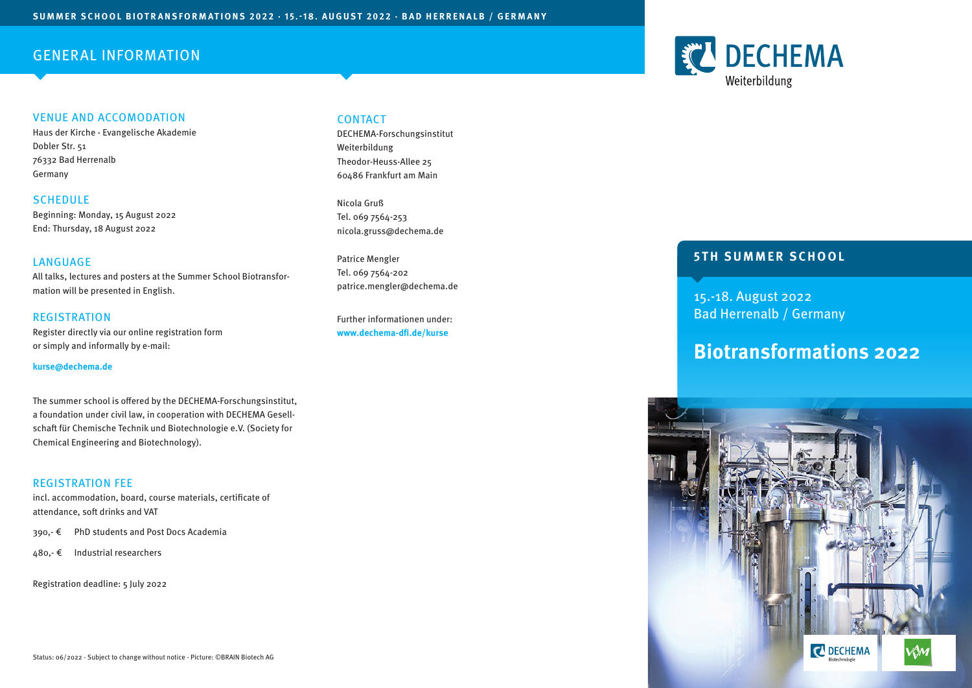# GENERAL INFORMATION

# VENUE AND ACCOMODATION

Haus der Kirche - Evangelische Akademie Dobler Str. 51 76332 Bad Herrenalb Germany

**SCHEDULE** Beginning: Monday, 15 August 2022 End: Thursday, 18 August 2022

## LANGUAGE

All talks, lectures and posters at the Summer School Biotransformation will be presented in English.

**REGISTRATION** Register directly via our online registration form or simply and informally by e-mail:

#### **kurse@dechema.de**

The summer school is offered by the DECHEMA-Forschungsinstitut, a foundation under civil law, in cooperation with DECHEMA Gesellschaft für Chemische Technik und Biotechnologie e.V. (Society for Chemical Engineering and Biotechnology).

## REGISTRATION FEE

incl. accommodation, board, course materials, certificate of attendance, soft drinks and VAT

- 390,- € PhD students and Post Docs Academia
- 480,- € Industrial researchers

Registration deadline: 5 July 2022

# **CONTACT**

DECHEMA-Forschungsinstitut Weiterbildung Theodor-Heuss-Allee 25 60486 Frankfurt am Main

Nicola Gruß Tel. 069 7564-253 nicola.gruss@dechema.de

Patrice Mengler Tel. 069 7564-202 patrice.mengler@dechema.de

Further informationen under: **www.dechema-dfi.de/kurse**

# **5TH SUMMER SCHOOL**

15.-18. August 2022 Bad Herrenalb / Germany

# **Biotransformations 2022**